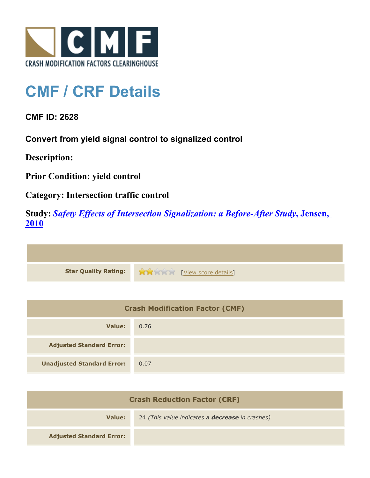

## **CMF / CRF Details**

**CMF ID: 2628**

**Convert from yield signal control to signalized control**

**Description:** 

**Prior Condition: yield control**

**Category: Intersection traffic control**

**Study:** *[Safety Effects of Intersection Signalization: a Before-After Study](http://www.cmfclearinghouse.org/study_detail.cfm?stid=170)***[, Jensen,](http://www.cmfclearinghouse.org/study_detail.cfm?stid=170) [2010](http://www.cmfclearinghouse.org/study_detail.cfm?stid=170)**



| <b>Crash Modification Factor (CMF)</b> |      |
|----------------------------------------|------|
| Value:                                 | 0.76 |
| <b>Adjusted Standard Error:</b>        |      |
| <b>Unadjusted Standard Error:</b>      | 0.07 |

| <b>Crash Reduction Factor (CRF)</b> |                                                        |
|-------------------------------------|--------------------------------------------------------|
| Value:                              | 24 (This value indicates a <b>decrease</b> in crashes) |
| <b>Adjusted Standard Error:</b>     |                                                        |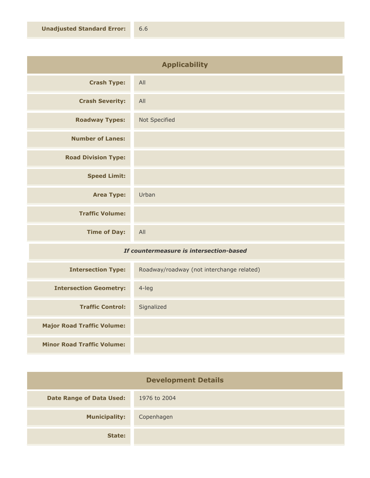| <b>Applicability</b>       |               |
|----------------------------|---------------|
| <b>Crash Type:</b>         | All           |
| <b>Crash Severity:</b>     | All           |
| <b>Roadway Types:</b>      | Not Specified |
| <b>Number of Lanes:</b>    |               |
| <b>Road Division Type:</b> |               |
| <b>Speed Limit:</b>        |               |
| <b>Area Type:</b>          | Urban         |
| <b>Traffic Volume:</b>     |               |
| <b>Time of Day:</b>        | All           |

## *If countermeasure is intersection-based*

| <b>Intersection Type:</b>         | Roadway/roadway (not interchange related) |
|-----------------------------------|-------------------------------------------|
| <b>Intersection Geometry:</b>     | $4$ -leg                                  |
| <b>Traffic Control:</b>           | Signalized                                |
| <b>Major Road Traffic Volume:</b> |                                           |
| <b>Minor Road Traffic Volume:</b> |                                           |

| <b>Development Details</b>      |              |
|---------------------------------|--------------|
| <b>Date Range of Data Used:</b> | 1976 to 2004 |
| <b>Municipality:</b>            | Copenhagen   |
| State:                          |              |